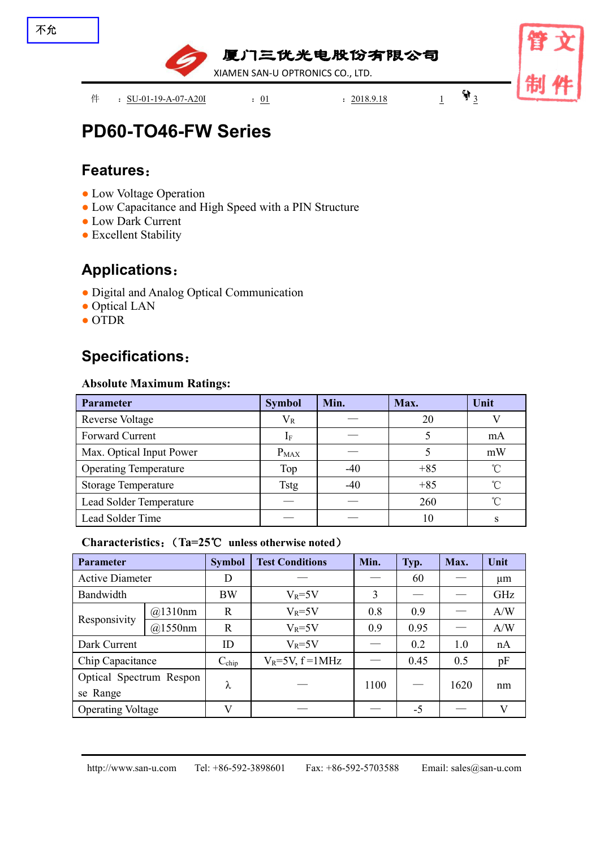

# **PD60-TO46-FW Series**

### **Features**:

- Low Voltage Operation
- Low Capacitance and High Speed with a PIN Structure
- Low Dark Current
- Excellent Stability

### **Applications**:

- Digital and Analog Optical Communication
- Optical LAN
- OTDR

## **Specifications**:

### **Absolute Maximum Ratings:**

| Parameter                    | <b>Symbol</b> | Min.  | Max.  | Unit       |
|------------------------------|---------------|-------|-------|------------|
| <b>Reverse Voltage</b>       | $V_{R}$       |       | 20    |            |
| Forward Current              |               |       |       | mA         |
| Max. Optical Input Power     | $P_{MAX}$     |       |       | mW         |
| <b>Operating Temperature</b> | Top           | $-40$ | $+85$ | $^{\circ}$ |
| <b>Storage Temperature</b>   | <b>Tstg</b>   | $-40$ | $+85$ | $^{\circ}$ |
| Lead Solder Temperature      |               |       | 260   | $^{\circ}$ |
| Lead Solder Time             |               |       | 10    |            |

### **Characteristics**:(**Ta=25**℃ **unless otherwise noted**)

| <b>Parameter</b>         |         | <b>Symbol</b>     | <b>Test Conditions</b>  | Min. | Typ.                            | Max. | Unit         |
|--------------------------|---------|-------------------|-------------------------|------|---------------------------------|------|--------------|
| <b>Active Diameter</b>   |         | D                 |                         |      | 60                              |      | $\mu$ m      |
| Bandwidth                |         | <b>BW</b>         | $V_R = 5V$              | 3    | __                              |      | GHz          |
| Responsivity             | @1310nm | $\mathbf R$       | $V_R = 5V$              | 0.8  | 0.9                             |      | A/W          |
|                          | @1550nm | $\mathbf R$       | $V_R = 5V$              | 0.9  | 0.95                            |      | A/W          |
| Dark Current             |         | ID                | $V_R = 5V$              |      | 0.2                             | 1.0  | nA           |
| Chip Capacitance         |         | $C_{\text{chip}}$ | $V_R = 5V$ , $f = 1MHz$ |      | 0.45                            | 0.5  | pF           |
| Optical Spectrum Respon  |         | ⋏                 |                         | 1100 | $\hspace{0.1mm}-\hspace{0.1mm}$ | 1620 | nm           |
| se Range                 |         |                   |                         |      |                                 |      |              |
| <b>Operating Voltage</b> |         | $\mathbf{V}$      |                         |      | $-5$                            |      | $\mathbf{V}$ |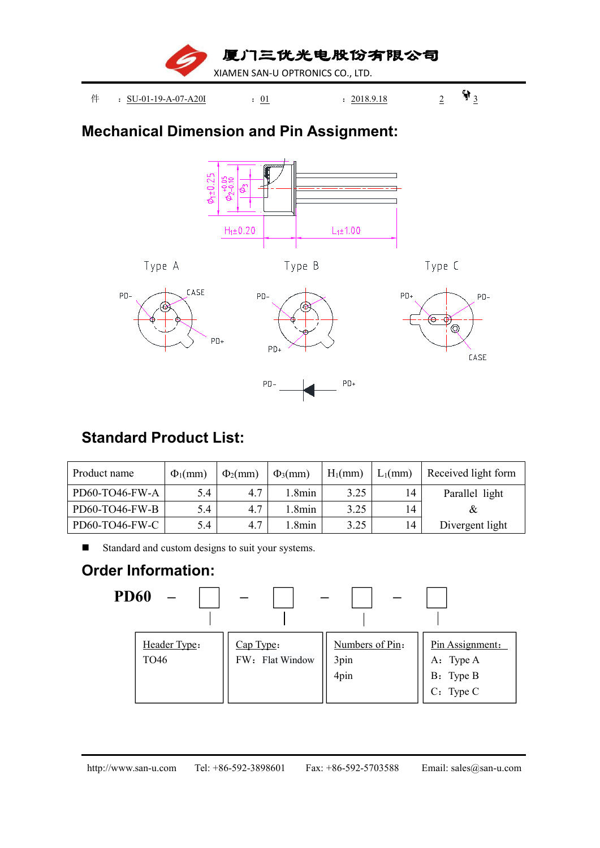

## **Mechanical Dimension and Pin Assignment:**



# **Standard Product List:**

| Product name   | $\Phi_1$ (mm) | $\Phi_2$ (mm) | $\Phi_3$ (mm) | $H_1$ (mm) | $L_1$ (mm) | Received light form |
|----------------|---------------|---------------|---------------|------------|------------|---------------------|
| PD60-TO46-FW-A | 5.4           | 4.7           | .8min         | 3.25       | 14         | Parallel light      |
| PD60-TO46-FW-B | 5.4           | 4.7           | .8min         | 3.25       | 14         |                     |
| PD60-TO46-FW-C | 5.4           | 4.7           | .8min         | 3.25       | 14         | Divergent light     |

Standard and custom designs to suit your systems.

# **Order Information:**